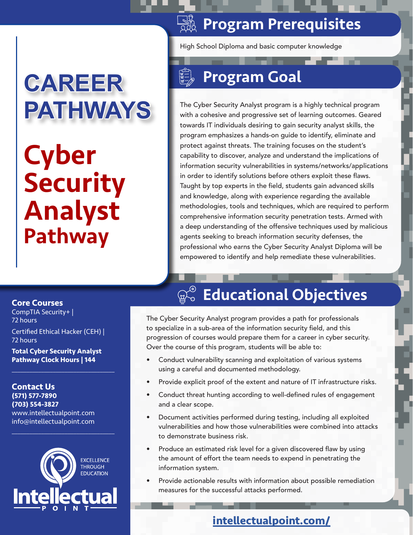### **SASE Program Prerequisites**

High School Diploma and basic computer knowledge

# Program Goal

The Cyber Security Analyst program is a highly technical program with a cohesive and progressive set of learning outcomes. Geared towards IT individuals desiring to gain security analyst skills, the program emphasizes a hands-on guide to identify, eliminate and protect against threats. The training focuses on the student's capability to discover, analyze and understand the implications of information security vulnerabilities in systems/networks/applications in order to identify solutions before others exploit these flaws. Taught by top experts in the field, students gain advanced skills and knowledge, along with experience regarding the available methodologies, tools and techniques, which are required to perform comprehensive information security penetration tests. Armed with a deep understanding of the offensive techniques used by malicious agents seeking to breach information security defenses, the professional who earns the Cyber Security Analyst Diploma will be empowered to identify and help remediate these vulnerabilities.

#### **Core Courses**

CompTIA Security+ | 72 hours

Certified Ethical Hacker (CEH) | 72 hours

**Cyber** 

**Security** 

**CAREER** 

**PATHWAYS**

Analyst

Pathway

**Total Cyber Security Analyst Pathway Clock Hours | 144**

 $\mathcal{L}_\mathcal{L}$  , where  $\mathcal{L}_\mathcal{L}$  is the set of the set of the set of the set of the set of the set of the set of the set of the set of the set of the set of the set of the set of the set of the set of the set of the

**Contact Us (571) 577-7890 (703) 554-3827** www.intellectualpoint.com info@intellectualpoint.com



 $\mathcal{L}_\mathcal{L}$  , where  $\mathcal{L}_\mathcal{L}$  is the set of the set of the set of the set of the set of the set of the set of the set of the set of the set of the set of the set of the set of the set of the set of the set of the

# $\mathbb{Q}_\infty^\otimes$  Educational Objectives

The Cyber Security Analyst program provides a path for professionals to specialize in a sub-area of the information security field, and this progression of courses would prepare them for a career in cyber security. Over the course of this program, students will be able to:

- Conduct vulnerability scanning and exploitation of various systems using a careful and documented methodology.
- Provide explicit proof of the extent and nature of IT infrastructure risks.
- Conduct threat hunting according to well-defined rules of engagement and a clear scope.
- Document activities performed during testing, including all exploited vulnerabilities and how those vulnerabilities were combined into attacks to demonstrate business risk.
- Produce an estimated risk level for a given discovered flaw by using the amount of effort the team needs to expend in penetrating the information system.
- Provide actionable results with information about possible remediation measures for the successful attacks performed.

### **[intellectualpoint.com/](https://intellectualpoint.com/)**